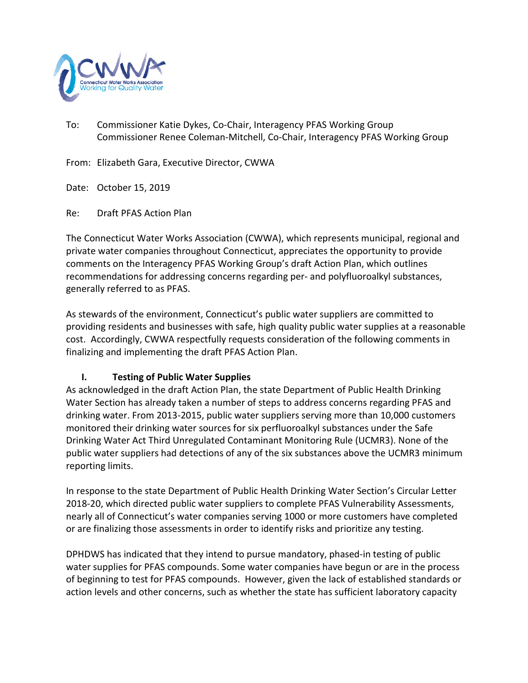

To: Commissioner Katie Dykes, Co-Chair, Interagency PFAS Working Group Commissioner Renee Coleman-Mitchell, Co-Chair, Interagency PFAS Working Group

From: Elizabeth Gara, Executive Director, CWWA

Date: October 15, 2019

Re: Draft PFAS Action Plan

The Connecticut Water Works Association (CWWA), which represents municipal, regional and private water companies throughout Connecticut, appreciates the opportunity to provide comments on the Interagency PFAS Working Group's draft Action Plan, which outlines recommendations for addressing concerns regarding per- and polyfluoroalkyl substances, generally referred to as PFAS.

As stewards of the environment, Connecticut's public water suppliers are committed to providing residents and businesses with safe, high quality public water supplies at a reasonable cost. Accordingly, CWWA respectfully requests consideration of the following comments in finalizing and implementing the draft PFAS Action Plan.

### **I. Testing of Public Water Supplies**

As acknowledged in the draft Action Plan, the state Department of Public Health Drinking Water Section has already taken a number of steps to address concerns regarding PFAS and drinking water. From 2013-2015, public water suppliers serving more than 10,000 customers monitored their drinking water sources for six perfluoroalkyl substances under the Safe Drinking Water Act Third Unregulated Contaminant Monitoring Rule (UCMR3). None of the public water suppliers had detections of any of the six substances above the UCMR3 minimum reporting limits.

In response to the state Department of Public Health Drinking Water Section's Circular Letter 2018-20, which directed public water suppliers to complete PFAS Vulnerability Assessments, nearly all of Connecticut's water companies serving 1000 or more customers have completed or are finalizing those assessments in order to identify risks and prioritize any testing.

DPHDWS has indicated that they intend to pursue mandatory, phased-in testing of public water supplies for PFAS compounds. Some water companies have begun or are in the process of beginning to test for PFAS compounds. However, given the lack of established standards or action levels and other concerns, such as whether the state has sufficient laboratory capacity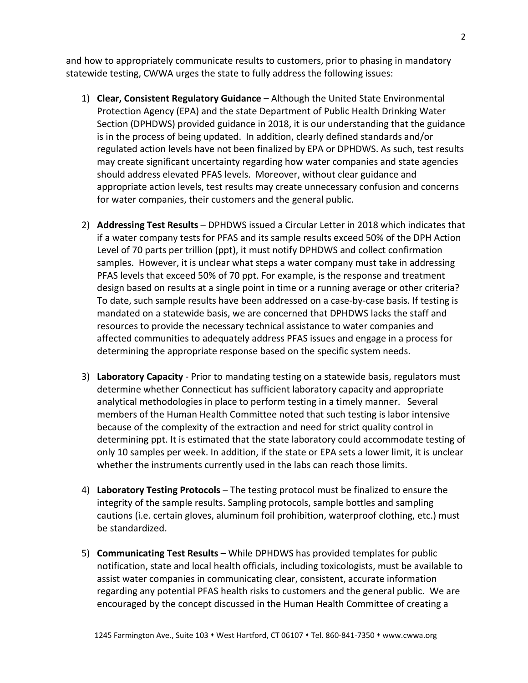and how to appropriately communicate results to customers, prior to phasing in mandatory statewide testing, CWWA urges the state to fully address the following issues:

- 1) **Clear, Consistent Regulatory Guidance** Although the United State Environmental Protection Agency (EPA) and the state Department of Public Health Drinking Water Section (DPHDWS) provided guidance in 2018, it is our understanding that the guidance is in the process of being updated. In addition, clearly defined standards and/or regulated action levels have not been finalized by EPA or DPHDWS. As such, test results may create significant uncertainty regarding how water companies and state agencies should address elevated PFAS levels. Moreover, without clear guidance and appropriate action levels, test results may create unnecessary confusion and concerns for water companies, their customers and the general public.
- 2) **Addressing Test Results** DPHDWS issued a Circular Letter in 2018 which indicates that if a water company tests for PFAS and its sample results exceed 50% of the DPH Action Level of 70 parts per trillion (ppt), it must notify DPHDWS and collect confirmation samples. However, it is unclear what steps a water company must take in addressing PFAS levels that exceed 50% of 70 ppt. For example, is the response and treatment design based on results at a single point in time or a running average or other criteria? To date, such sample results have been addressed on a case-by-case basis. If testing is mandated on a statewide basis, we are concerned that DPHDWS lacks the staff and resources to provide the necessary technical assistance to water companies and affected communities to adequately address PFAS issues and engage in a process for determining the appropriate response based on the specific system needs.
- 3) **Laboratory Capacity** Prior to mandating testing on a statewide basis, regulators must determine whether Connecticut has sufficient laboratory capacity and appropriate analytical methodologies in place to perform testing in a timely manner. Several members of the Human Health Committee noted that such testing is labor intensive because of the complexity of the extraction and need for strict quality control in determining ppt. It is estimated that the state laboratory could accommodate testing of only 10 samples per week. In addition, if the state or EPA sets a lower limit, it is unclear whether the instruments currently used in the labs can reach those limits.
- 4) **Laboratory Testing Protocols**  The testing protocol must be finalized to ensure the integrity of the sample results. Sampling protocols, sample bottles and sampling cautions (i.e. certain gloves, aluminum foil prohibition, waterproof clothing, etc.) must be standardized.
- 5) **Communicating Test Results** While DPHDWS has provided templates for public notification, state and local health officials, including toxicologists, must be available to assist water companies in communicating clear, consistent, accurate information regarding any potential PFAS health risks to customers and the general public. We are encouraged by the concept discussed in the Human Health Committee of creating a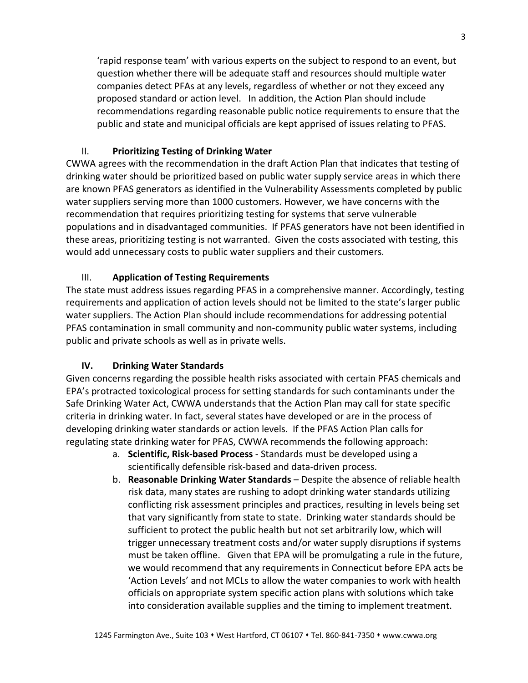'rapid response team' with various experts on the subject to respond to an event, but question whether there will be adequate staff and resources should multiple water companies detect PFAs at any levels, regardless of whether or not they exceed any proposed standard or action level. In addition, the Action Plan should include recommendations regarding reasonable public notice requirements to ensure that the public and state and municipal officials are kept apprised of issues relating to PFAS.

#### II. **Prioritizing Testing of Drinking Water**

CWWA agrees with the recommendation in the draft Action Plan that indicates that testing of drinking water should be prioritized based on public water supply service areas in which there are known PFAS generators as identified in the Vulnerability Assessments completed by public water suppliers serving more than 1000 customers. However, we have concerns with the recommendation that requires prioritizing testing for systems that serve vulnerable populations and in disadvantaged communities. If PFAS generators have not been identified in these areas, prioritizing testing is not warranted. Given the costs associated with testing, this would add unnecessary costs to public water suppliers and their customers.

#### III. **Application of Testing Requirements**

The state must address issues regarding PFAS in a comprehensive manner. Accordingly, testing requirements and application of action levels should not be limited to the state's larger public water suppliers. The Action Plan should include recommendations for addressing potential PFAS contamination in small community and non-community public water systems, including public and private schools as well as in private wells.

#### **IV. Drinking Water Standards**

Given concerns regarding the possible health risks associated with certain PFAS chemicals and EPA's protracted toxicological process for setting standards for such contaminants under the Safe Drinking Water Act, CWWA understands that the Action Plan may call for state specific criteria in drinking water. In fact, several states have developed or are in the process of developing drinking water standards or action levels. If the PFAS Action Plan calls for regulating state drinking water for PFAS, CWWA recommends the following approach:

- a. **Scientific, Risk-based Process** Standards must be developed using a scientifically defensible risk-based and data-driven process.
- b. **Reasonable Drinking Water Standards** Despite the absence of reliable health risk data, many states are rushing to adopt drinking water standards utilizing conflicting risk assessment principles and practices, resulting in levels being set that vary significantly from state to state. Drinking water standards should be sufficient to protect the public health but not set arbitrarily low, which will trigger unnecessary treatment costs and/or water supply disruptions if systems must be taken offline. Given that EPA will be promulgating a rule in the future, we would recommend that any requirements in Connecticut before EPA acts be 'Action Levels' and not MCLs to allow the water companies to work with health officials on appropriate system specific action plans with solutions which take into consideration available supplies and the timing to implement treatment.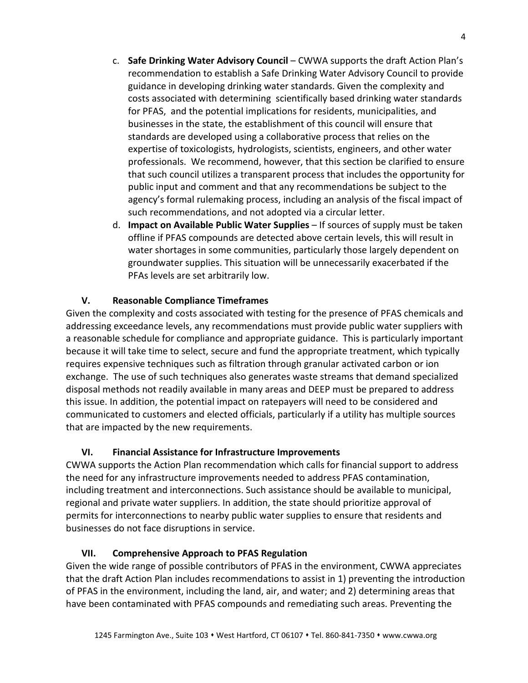- c. **Safe Drinking Water Advisory Council**  CWWA supports the draft Action Plan's recommendation to establish a Safe Drinking Water Advisory Council to provide guidance in developing drinking water standards. Given the complexity and costs associated with determining scientifically based drinking water standards for PFAS, and the potential implications for residents, municipalities, and businesses in the state, the establishment of this council will ensure that standards are developed using a collaborative process that relies on the expertise of toxicologists, hydrologists, scientists, engineers, and other water professionals. We recommend, however, that this section be clarified to ensure that such council utilizes a transparent process that includes the opportunity for public input and comment and that any recommendations be subject to the agency's formal rulemaking process, including an analysis of the fiscal impact of such recommendations, and not adopted via a circular letter.
- d. **Impact on Available Public Water Supplies** If sources of supply must be taken offline if PFAS compounds are detected above certain levels, this will result in water shortages in some communities, particularly those largely dependent on groundwater supplies. This situation will be unnecessarily exacerbated if the PFAs levels are set arbitrarily low.

### **V. Reasonable Compliance Timeframes**

Given the complexity and costs associated with testing for the presence of PFAS chemicals and addressing exceedance levels, any recommendations must provide public water suppliers with a reasonable schedule for compliance and appropriate guidance. This is particularly important because it will take time to select, secure and fund the appropriate treatment, which typically requires expensive techniques such as filtration through granular activated carbon or ion exchange. The use of such techniques also generates waste streams that demand specialized disposal methods not readily available in many areas and DEEP must be prepared to address this issue. In addition, the potential impact on ratepayers will need to be considered and communicated to customers and elected officials, particularly if a utility has multiple sources that are impacted by the new requirements.

# **VI. Financial Assistance for Infrastructure Improvements**

CWWA supports the Action Plan recommendation which calls for financial support to address the need for any infrastructure improvements needed to address PFAS contamination, including treatment and interconnections. Such assistance should be available to municipal, regional and private water suppliers. In addition, the state should prioritize approval of permits for interconnections to nearby public water supplies to ensure that residents and businesses do not face disruptions in service.

# **VII. Comprehensive Approach to PFAS Regulation**

Given the wide range of possible contributors of PFAS in the environment, CWWA appreciates that the draft Action Plan includes recommendations to assist in 1) preventing the introduction of PFAS in the environment, including the land, air, and water; and 2) determining areas that have been contaminated with PFAS compounds and remediating such areas. Preventing the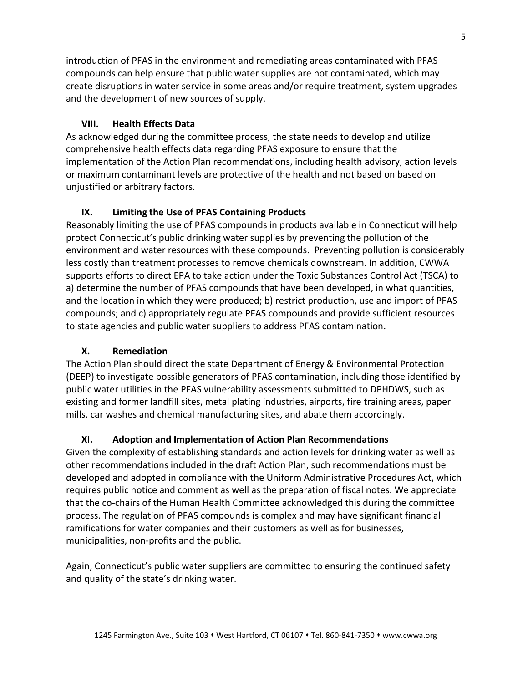introduction of PFAS in the environment and remediating areas contaminated with PFAS compounds can help ensure that public water supplies are not contaminated, which may create disruptions in water service in some areas and/or require treatment, system upgrades and the development of new sources of supply.

## **VIII. Health Effects Data**

As acknowledged during the committee process, the state needs to develop and utilize comprehensive health effects data regarding PFAS exposure to ensure that the implementation of the Action Plan recommendations, including health advisory, action levels or maximum contaminant levels are protective of the health and not based on based on unjustified or arbitrary factors.

## **IX. Limiting the Use of PFAS Containing Products**

Reasonably limiting the use of PFAS compounds in products available in Connecticut will help protect Connecticut's public drinking water supplies by preventing the pollution of the environment and water resources with these compounds. Preventing pollution is considerably less costly than treatment processes to remove chemicals downstream. In addition, CWWA supports efforts to direct EPA to take action under the Toxic Substances Control Act (TSCA) to a) determine the number of PFAS compounds that have been developed, in what quantities, and the location in which they were produced; b) restrict production, use and import of PFAS compounds; and c) appropriately regulate PFAS compounds and provide sufficient resources to state agencies and public water suppliers to address PFAS contamination.

# **X. Remediation**

The Action Plan should direct the state Department of Energy & Environmental Protection (DEEP) to investigate possible generators of PFAS contamination, including those identified by public water utilities in the PFAS vulnerability assessments submitted to DPHDWS, such as existing and former landfill sites, metal plating industries, airports, fire training areas, paper mills, car washes and chemical manufacturing sites, and abate them accordingly.

### **XI. Adoption and Implementation of Action Plan Recommendations**

Given the complexity of establishing standards and action levels for drinking water as well as other recommendations included in the draft Action Plan, such recommendations must be developed and adopted in compliance with the Uniform Administrative Procedures Act, which requires public notice and comment as well as the preparation of fiscal notes. We appreciate that the co-chairs of the Human Health Committee acknowledged this during the committee process. The regulation of PFAS compounds is complex and may have significant financial ramifications for water companies and their customers as well as for businesses, municipalities, non-profits and the public.

Again, Connecticut's public water suppliers are committed to ensuring the continued safety and quality of the state's drinking water.